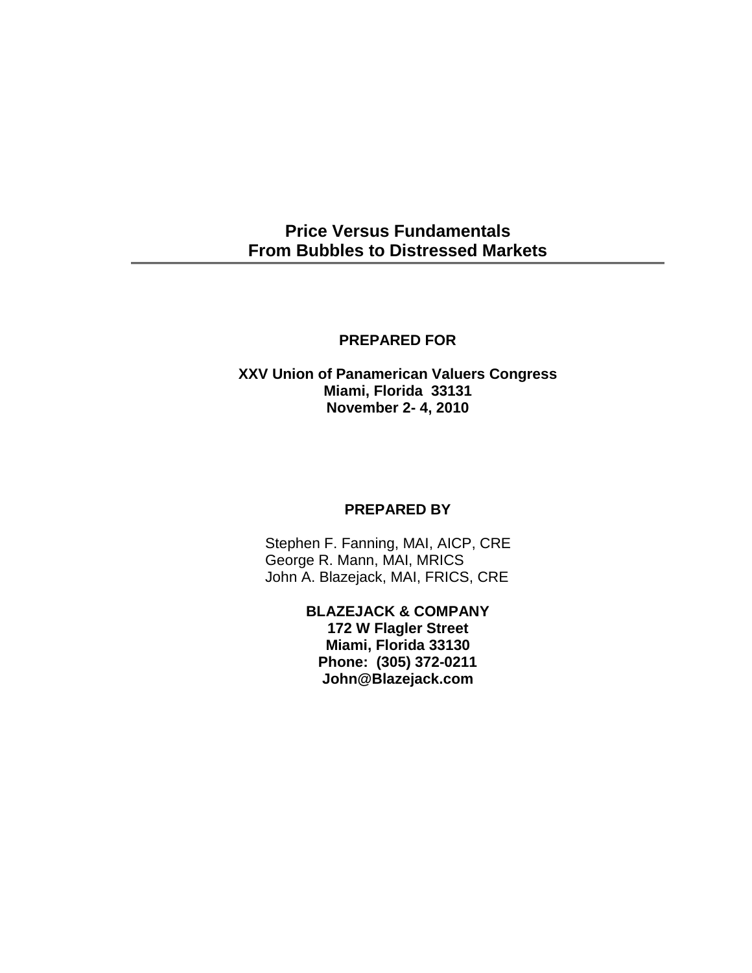# **Price Versus Fundamentals From Bubbles to Distressed Markets**

## **PREPARED FOR**

## **XXV Union of Panamerican Valuers Congress Miami, Florida 33131 November 2- 4, 2010**

## **PREPARED BY**

Stephen F. Fanning, MAI, AICP, CRE George R. Mann, MAI, MRICS John A. Blazejack, MAI, FRICS, CRE

> **BLAZEJACK & COMPANY 172 W Flagler Street Miami, Florida 33130 Phone: (305) 372-0211 John@Blazejack.com**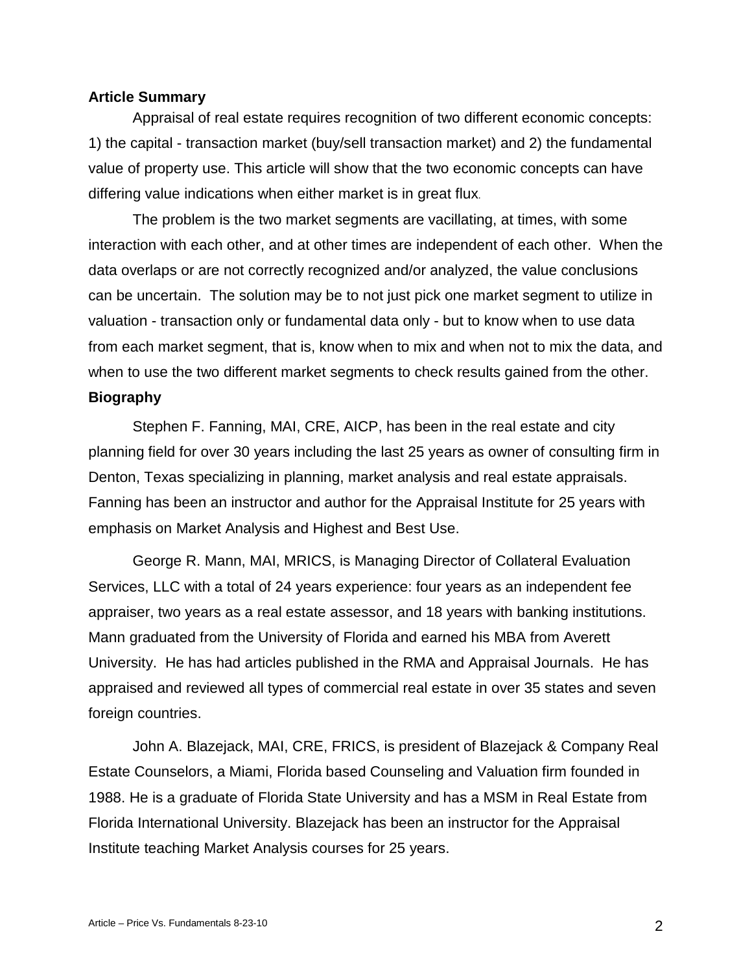## **Article Summary**

Appraisal of real estate requires recognition of two different economic concepts: 1) the capital - transaction market (buy/sell transaction market) and 2) the fundamental value of property use. This article will show that the two economic concepts can have differing value indications when either market is in great flux.

The problem is the two market segments are vacillating, at times, with some interaction with each other, and at other times are independent of each other. When the data overlaps or are not correctly recognized and/or analyzed, the value conclusions can be uncertain. The solution may be to not just pick one market segment to utilize in valuation - transaction only or fundamental data only - but to know when to use data from each market segment, that is, know when to mix and when not to mix the data, and when to use the two different market segments to check results gained from the other. **Biography**

Stephen F. Fanning, MAI, CRE, AICP, has been in the real estate and city planning field for over 30 years including the last 25 years as owner of consulting firm in Denton, Texas specializing in planning, market analysis and real estate appraisals. Fanning has been an instructor and author for the Appraisal Institute for 25 years with emphasis on Market Analysis and Highest and Best Use.

George R. Mann, MAI, MRICS, is Managing Director of Collateral Evaluation Services, LLC with a total of 24 years experience: four years as an independent fee appraiser, two years as a real estate assessor, and 18 years with banking institutions. Mann graduated from the University of Florida and earned his MBA from Averett University. He has had articles published in the RMA and Appraisal Journals. He has appraised and reviewed all types of commercial real estate in over 35 states and seven foreign countries.

John A. Blazejack, MAI, CRE, FRICS, is president of Blazejack & Company Real Estate Counselors, a Miami, Florida based Counseling and Valuation firm founded in 1988. He is a graduate of Florida State University and has a MSM in Real Estate from Florida International University. Blazejack has been an instructor for the Appraisal Institute teaching Market Analysis courses for 25 years.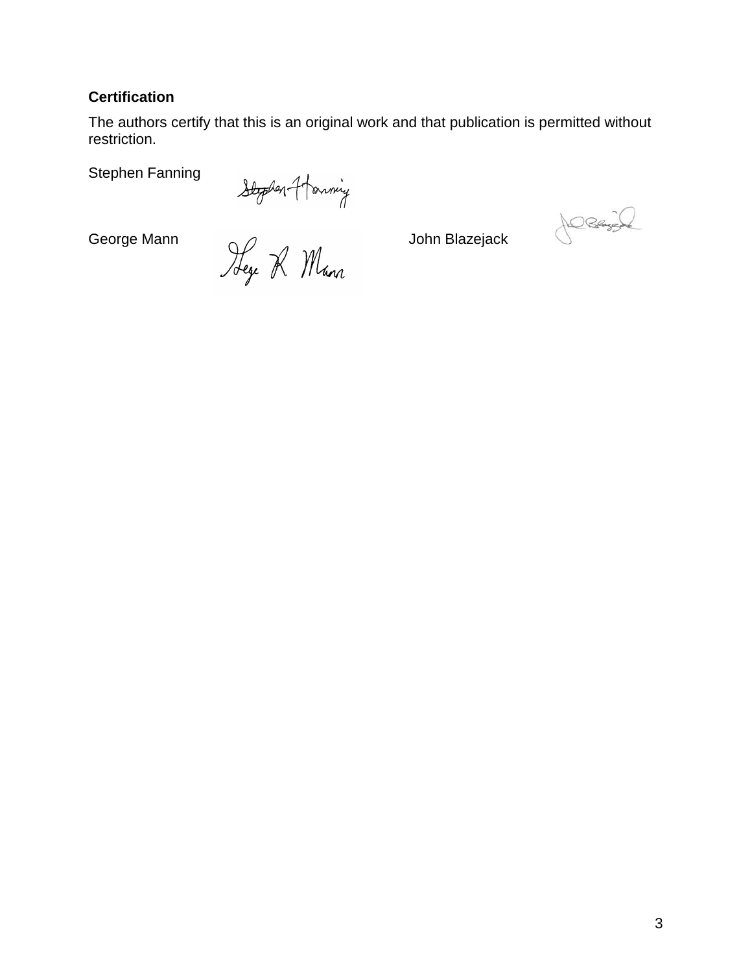## **Certification**

The authors certify that this is an original work and that publication is permitted without restriction.

Stephen Fanning

Stephen Fanning<br>Blooden-Harming<br>George Mann<br>Jege R. Mann

DRANGE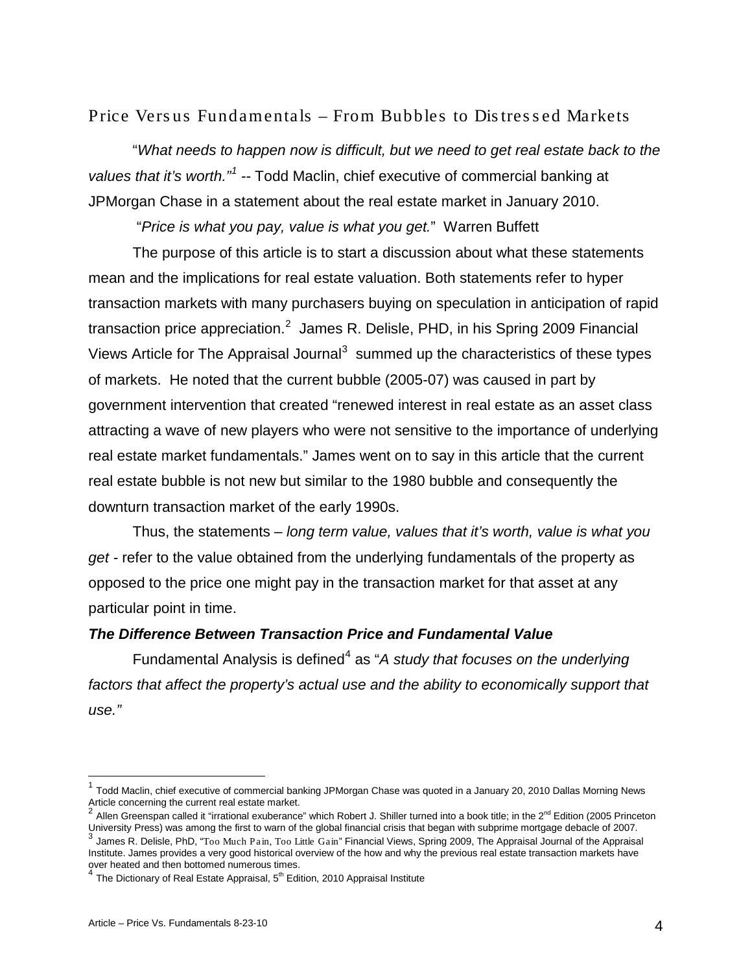Price Vers us Fundamentals – From Bubbles to Dis tres s ed Markets

"*What needs to happen now is difficult, but we need to get real estate back to the*  values that it's worth."<sup>[1](#page-3-0)</sup> -- Todd Maclin, chief executive of commercial banking at JPMorgan Chase in a statement about the real estate market in January 2010.

"*Price is what you pay, value is what you get.*" Warren Buffett

The purpose of this article is to start a discussion about what these statements mean and the implications for real estate valuation. Both statements refer to hyper transaction markets with many purchasers buying on speculation in anticipation of rapid transaction price appreciation.<sup>[2](#page-3-1)</sup> James R. Delisle, PHD, in his Spring 2009 Financial Views Article for The Appraisal Journal<sup>[3](#page-3-2)</sup> summed up the characteristics of these types of markets. He noted that the current bubble (2005-07) was caused in part by government intervention that created "renewed interest in real estate as an asset class attracting a wave of new players who were not sensitive to the importance of underlying real estate market fundamentals." James went on to say in this article that the current real estate bubble is not new but similar to the 1980 bubble and consequently the downturn transaction market of the early 1990s.

Thus, the statements – *long term value, values that it's worth, value is what you get -* refer to the value obtained from the underlying fundamentals of the property as opposed to the price one might pay in the transaction market for that asset at any particular point in time.

## *The Difference Between Transaction Price and Fundamental Value*

Fundamental Analysis is defined<sup>[4](#page-3-3)</sup> as "A study that focuses on the underlying factors that affect the property's actual use and the ability to economically support that *use."*

<span id="page-3-0"></span> <sup>1</sup> Todd Maclin, chief executive of commercial banking JPMorgan Chase was quoted in a January 20, 2010 Dallas Morning News Article concerning the current real estate market.

<span id="page-3-1"></span><sup>&</sup>lt;sup>2</sup> Allen Greenspan called it "irrational exuberance" which Robert J. Shiller turned into a book title; in the 2<sup>nd</sup> Edition (2005 Princeton University Press) was among the first to warn of the global financial crisis tha

<span id="page-3-2"></span><sup>,&</sup>lt;br>James R. Delisle, PhD, "Too Much Pain, Too Little Gain" Financial Views, Spring 2009, The Appraisal Journal of the Appraisal Institute. James provides a very good historical overview of the how and why the previous real estate transaction markets have

<span id="page-3-3"></span>over heated and then bottomed numerous times.<br><sup>4</sup> The Dictionary of Real Estate Appraisal, 5<sup>th</sup> Edition, 2010 Appraisal Institute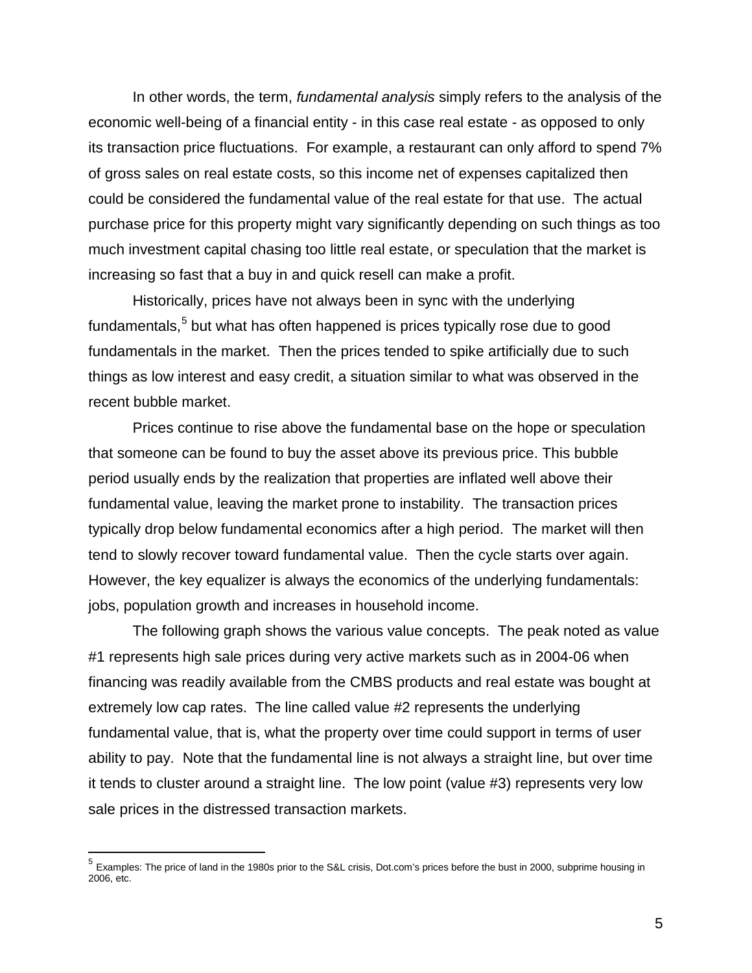In other words, the term, *fundamental analysis* simply refers to the analysis of the economic well-being of a financial entity - in this case real estate - as opposed to only its transaction price fluctuations. For example, a restaurant can only afford to spend 7% of gross sales on real estate costs, so this income net of expenses capitalized then could be considered the fundamental value of the real estate for that use. The actual purchase price for this property might vary significantly depending on such things as too much investment capital chasing too little real estate, or speculation that the market is increasing so fast that a buy in and quick resell can make a profit.

Historically, prices have not always been in sync with the underlying fundamentals,<sup>[5](#page-4-0)</sup> but what has often happened is prices typically rose due to good fundamentals in the market. Then the prices tended to spike artificially due to such things as low interest and easy credit, a situation similar to what was observed in the recent bubble market.

Prices continue to rise above the fundamental base on the hope or speculation that someone can be found to buy the asset above its previous price. This bubble period usually ends by the realization that properties are inflated well above their fundamental value, leaving the market prone to instability. The transaction prices typically drop below fundamental economics after a high period. The market will then tend to slowly recover toward fundamental value. Then the cycle starts over again. However, the key equalizer is always the economics of the underlying fundamentals: jobs, population growth and increases in household income.

The following graph shows the various value concepts. The peak noted as value #1 represents high sale prices during very active markets such as in 2004-06 when financing was readily available from the CMBS products and real estate was bought at extremely low cap rates. The line called value #2 represents the underlying fundamental value, that is, what the property over time could support in terms of user ability to pay. Note that the fundamental line is not always a straight line, but over time it tends to cluster around a straight line. The low point (value #3) represents very low sale prices in the distressed transaction markets.

<span id="page-4-0"></span> <sup>5</sup> Examples: The price of land in the 1980s prior to the S&L crisis, Dot.com's prices before the bust in 2000, subprime housing in 2006, etc.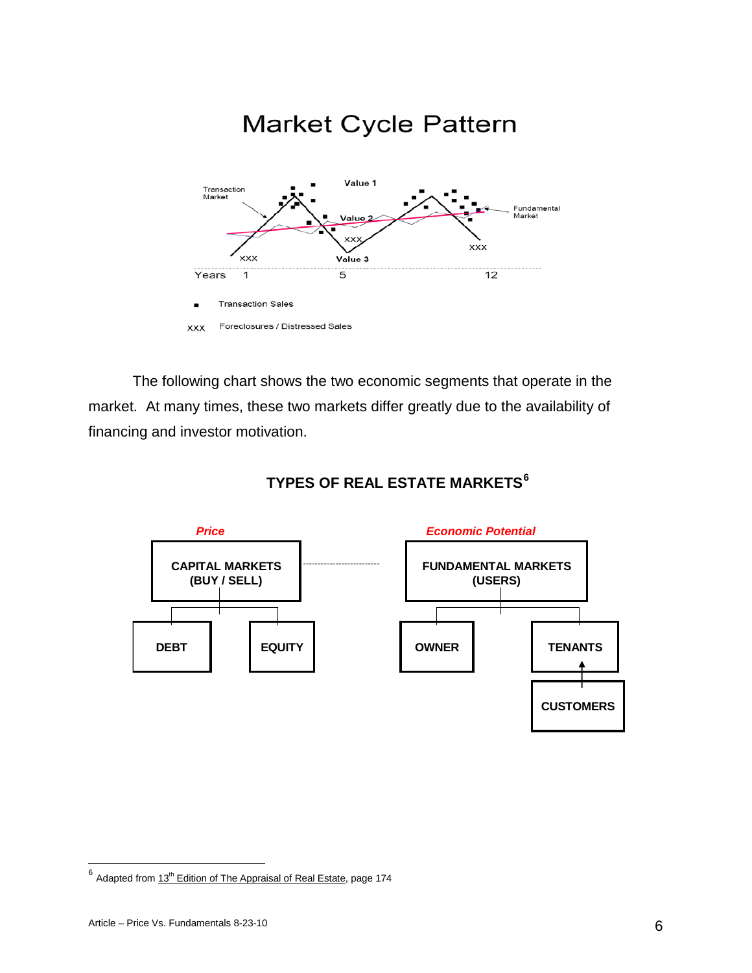

The following chart shows the two economic segments that operate in the market. At many times, these two markets differ greatly due to the availability of financing and investor motivation.



## **TYPES OF REAL ESTATE MARKETS[6](#page-5-0)**

<span id="page-5-0"></span> $^6$  Adapted from  $13^{\text{th}}$  Edition of The Appraisal of Real Estate, page 174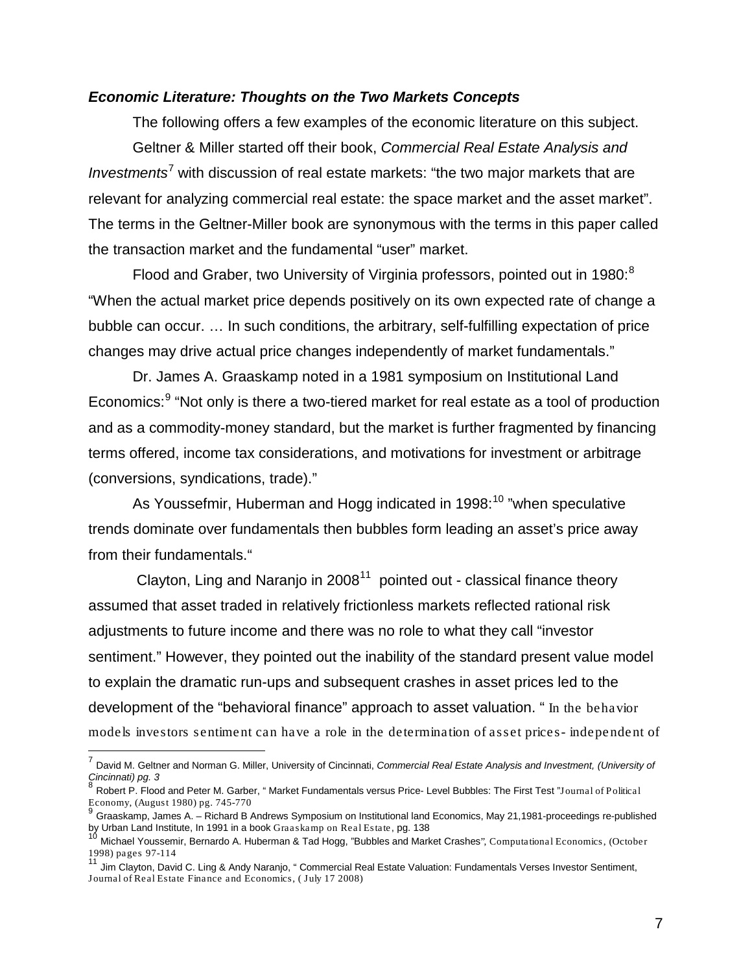## *Economic Literature: Thoughts on the Two Markets Concepts*

The following offers a few examples of the economic literature on this subject. Geltner & Miller started off their book, *Commercial Real Estate Analysis and Investments*[7](#page-6-0) with discussion of real estate markets: "the two major markets that are relevant for analyzing commercial real estate: the space market and the asset market". The terms in the Geltner-Miller book are synonymous with the terms in this paper called the transaction market and the fundamental "user" market.

Flood and Graber, two University of Virginia professors, pointed out in 19[8](#page-6-1)0: $^8$ "When the actual market price depends positively on its own expected rate of change a bubble can occur. … In such conditions, the arbitrary, self-fulfilling expectation of price changes may drive actual price changes independently of market fundamentals."

Dr. James A. Graaskamp noted in a 1981 symposium on Institutional Land Economics:<sup>[9](#page-6-2)</sup> "Not only is there a two-tiered market for real estate as a tool of production and as a commodity-money standard, but the market is further fragmented by financing terms offered, income tax considerations, and motivations for investment or arbitrage (conversions, syndications, trade)."

As Youssefmir, Huberman and Hogg indicated in 1998:<sup>[10](#page-6-3)</sup> "when speculative trends dominate over fundamentals then bubbles form leading an asset's price away from their fundamentals."

Clayton, Ling and Naranjo in  $2008<sup>11</sup>$  $2008<sup>11</sup>$  $2008<sup>11</sup>$  pointed out - classical finance theory assumed that asset traded in relatively frictionless markets reflected rational risk adjustments to future income and there was no role to what they call "investor sentiment." However, they pointed out the inability of the standard present value model to explain the dramatic run-ups and subsequent crashes in asset prices led to the development of the "behavioral finance" approach to asset valuation. " In the behavior models investors sentiment can have a role in the determination of asset prices- independent of

<span id="page-6-0"></span> <sup>7</sup> David M. Geltner and Norman G. Miller, University of Cincinnati, *Commercial Real Estate Analysis and Investment, (University of Cincinnati) pg. 3*

<span id="page-6-1"></span>Robert P. Flood and Peter M. Garber, " Market Fundamentals versus Price- Level Bubbles: The First Test "Journal of Political Economy, (August 1980) pg. 745-770

<span id="page-6-2"></span><sup>&</sup>lt;sup>9</sup> Graaskamp, James A. – Richard B Andrews Symposium on Institutional land Economics, May 21,1981-proceedings re-published<br>by Urban Land Institute, In 1991 in a book Graaskamp on Real Estate, pg. 138

<span id="page-6-3"></span>Michael Youssemir, Bernardo A. Huberman & Tad Hogg, "Bubbles and Market Crashes", Computational Economics, (October 1998) pages 97-114

<span id="page-6-4"></span>Jim Clayton, David C. Ling & Andy Naranjo, " Commercial Real Estate Valuation: Fundamentals Verses Investor Sentiment, Journal of Real Estate Finance and Economics, ( July 17 2008)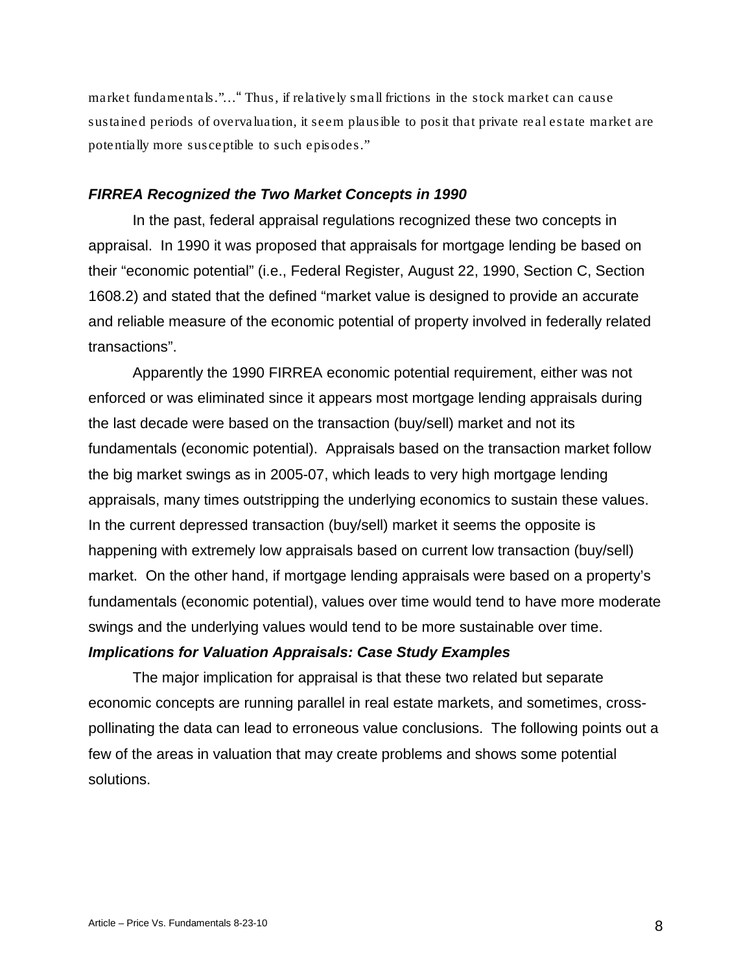market fundamentals."…" Thus, if relatively small frictions in the stock market can cause sustained periods of overvaluation, it seem plausible to posit that private real estate market are potentially more susceptible to such episodes."

#### *FIRREA Recognized the Two Market Concepts in 1990*

In the past, federal appraisal regulations recognized these two concepts in appraisal. In 1990 it was proposed that appraisals for mortgage lending be based on their "economic potential" (i.e., Federal Register, August 22, 1990, Section C, Section 1608.2) and stated that the defined "market value is designed to provide an accurate and reliable measure of the economic potential of property involved in federally related transactions".

Apparently the 1990 FIRREA economic potential requirement, either was not enforced or was eliminated since it appears most mortgage lending appraisals during the last decade were based on the transaction (buy/sell) market and not its fundamentals (economic potential). Appraisals based on the transaction market follow the big market swings as in 2005-07, which leads to very high mortgage lending appraisals, many times outstripping the underlying economics to sustain these values. In the current depressed transaction (buy/sell) market it seems the opposite is happening with extremely low appraisals based on current low transaction (buy/sell) market. On the other hand, if mortgage lending appraisals were based on a property's fundamentals (economic potential), values over time would tend to have more moderate swings and the underlying values would tend to be more sustainable over time.

## *Implications for Valuation Appraisals: Case Study Examples*

The major implication for appraisal is that these two related but separate economic concepts are running parallel in real estate markets, and sometimes, crosspollinating the data can lead to erroneous value conclusions. The following points out a few of the areas in valuation that may create problems and shows some potential solutions.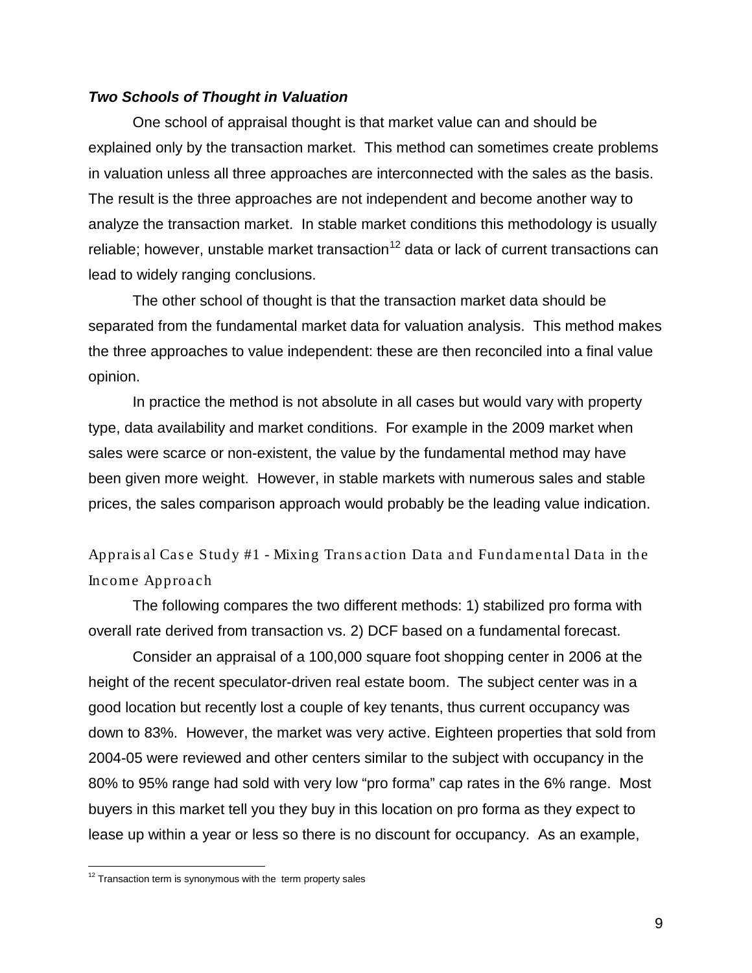#### *Two Schools of Thought in Valuation*

One school of appraisal thought is that market value can and should be explained only by the transaction market. This method can sometimes create problems in valuation unless all three approaches are interconnected with the sales as the basis. The result is the three approaches are not independent and become another way to analyze the transaction market. In stable market conditions this methodology is usually reliable; however, unstable market transaction<sup>[12](#page-8-0)</sup> data or lack of current transactions can lead to widely ranging conclusions.

The other school of thought is that the transaction market data should be separated from the fundamental market data for valuation analysis. This method makes the three approaches to value independent: these are then reconciled into a final value opinion.

In practice the method is not absolute in all cases but would vary with property type, data availability and market conditions. For example in the 2009 market when sales were scarce or non-existent, the value by the fundamental method may have been given more weight. However, in stable markets with numerous sales and stable prices, the sales comparison approach would probably be the leading value indication.

Apprais al Cas e Study #1 - Mixing Trans action Data and Fundamental Data in the Income Approach

The following compares the two different methods: 1) stabilized pro forma with overall rate derived from transaction vs. 2) DCF based on a fundamental forecast.

Consider an appraisal of a 100,000 square foot shopping center in 2006 at the height of the recent speculator-driven real estate boom. The subject center was in a good location but recently lost a couple of key tenants, thus current occupancy was down to 83%. However, the market was very active. Eighteen properties that sold from 2004-05 were reviewed and other centers similar to the subject with occupancy in the 80% to 95% range had sold with very low "pro forma" cap rates in the 6% range. Most buyers in this market tell you they buy in this location on pro forma as they expect to lease up within a year or less so there is no discount for occupancy. As an example,

<span id="page-8-0"></span> $12$  Transaction term is synonymous with the term property sales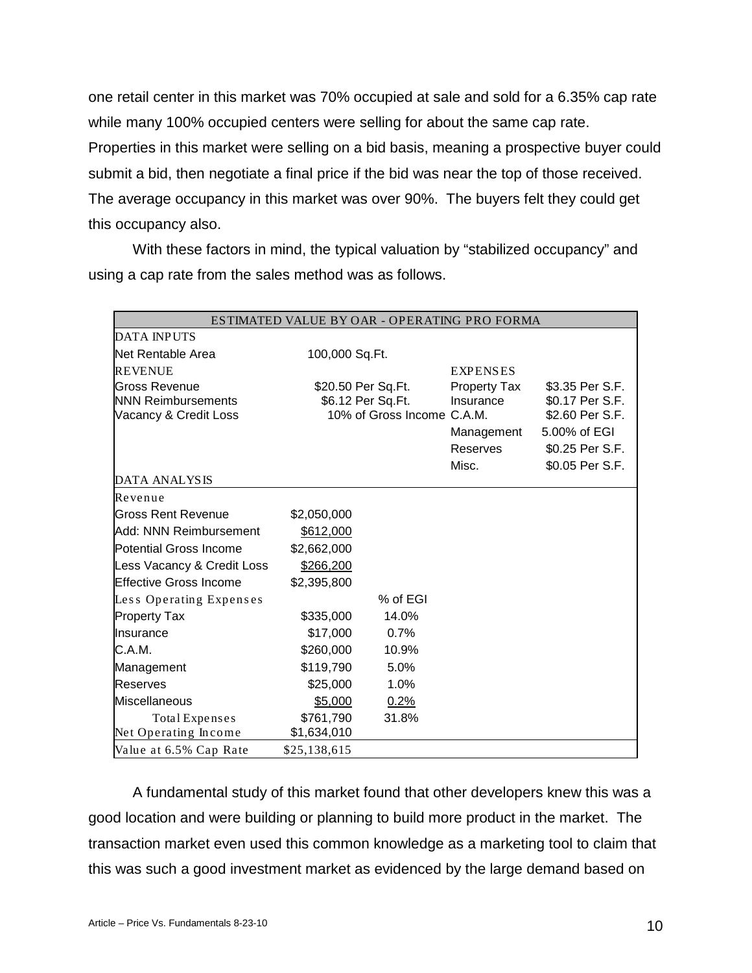one retail center in this market was 70% occupied at sale and sold for a 6.35% cap rate while many 100% occupied centers were selling for about the same cap rate. Properties in this market were selling on a bid basis, meaning a prospective buyer could submit a bid, then negotiate a final price if the bid was near the top of those received. The average occupancy in this market was over 90%. The buyers felt they could get this occupancy also.

With these factors in mind, the typical valuation by "stabilized occupancy" and using a cap rate from the sales method was as follows.

| ESTIMATED VALUE BY OAR - OPERATING PRO FORMA                               |                                                                       |          |                                  |                                                       |  |  |
|----------------------------------------------------------------------------|-----------------------------------------------------------------------|----------|----------------------------------|-------------------------------------------------------|--|--|
| <b>DATA INPUTS</b>                                                         |                                                                       |          |                                  |                                                       |  |  |
| Net Rentable Area                                                          | 100,000 Sq.Ft.                                                        |          |                                  |                                                       |  |  |
| <b>REVENUE</b>                                                             |                                                                       |          | <b>EXPENSES</b>                  |                                                       |  |  |
| <b>Gross Revenue</b><br><b>NNN Reimbursements</b><br>Vacancy & Credit Loss | \$20.50 Per Sq.Ft.<br>\$6.12 Per Sq.Ft.<br>10% of Gross Income C.A.M. |          | <b>Property Tax</b><br>Insurance | \$3.35 Per S.F.<br>\$0.17 Per S.F.<br>\$2.60 Per S.F. |  |  |
|                                                                            |                                                                       |          | Management<br>Reserves<br>Misc.  | 5.00% of EGI<br>\$0.25 Per S.F.<br>\$0.05 Per S.F.    |  |  |
| <b>DATA ANALYSIS</b>                                                       |                                                                       |          |                                  |                                                       |  |  |
| Revenue                                                                    |                                                                       |          |                                  |                                                       |  |  |
| <b>Gross Rent Revenue</b>                                                  | \$2,050,000                                                           |          |                                  |                                                       |  |  |
| Add: NNN Reimbursement                                                     | \$612,000                                                             |          |                                  |                                                       |  |  |
| <b>Potential Gross Income</b>                                              | \$2,662,000                                                           |          |                                  |                                                       |  |  |
| Less Vacancy & Credit Loss                                                 | \$266,200                                                             |          |                                  |                                                       |  |  |
| <b>Effective Gross Income</b>                                              | \$2,395,800                                                           |          |                                  |                                                       |  |  |
| Less Operating Expenses                                                    |                                                                       | % of EGI |                                  |                                                       |  |  |
| <b>Property Tax</b>                                                        | \$335,000                                                             | 14.0%    |                                  |                                                       |  |  |
| Insurance                                                                  | \$17,000                                                              | 0.7%     |                                  |                                                       |  |  |
| C.A.M.                                                                     | \$260,000                                                             | 10.9%    |                                  |                                                       |  |  |
| Management                                                                 | \$119,790                                                             | 5.0%     |                                  |                                                       |  |  |
| <b>Reserves</b>                                                            | \$25,000                                                              | 1.0%     |                                  |                                                       |  |  |
| <b>Miscellaneous</b>                                                       | \$5,000                                                               | 0.2%     |                                  |                                                       |  |  |
| Total Expenses<br>Net Operating Income                                     | \$761,790<br>\$1,634,010                                              | 31.8%    |                                  |                                                       |  |  |
| Value at 6.5% Cap Rate                                                     | \$25,138,615                                                          |          |                                  |                                                       |  |  |

A fundamental study of this market found that other developers knew this was a good location and were building or planning to build more product in the market. The transaction market even used this common knowledge as a marketing tool to claim that this was such a good investment market as evidenced by the large demand based on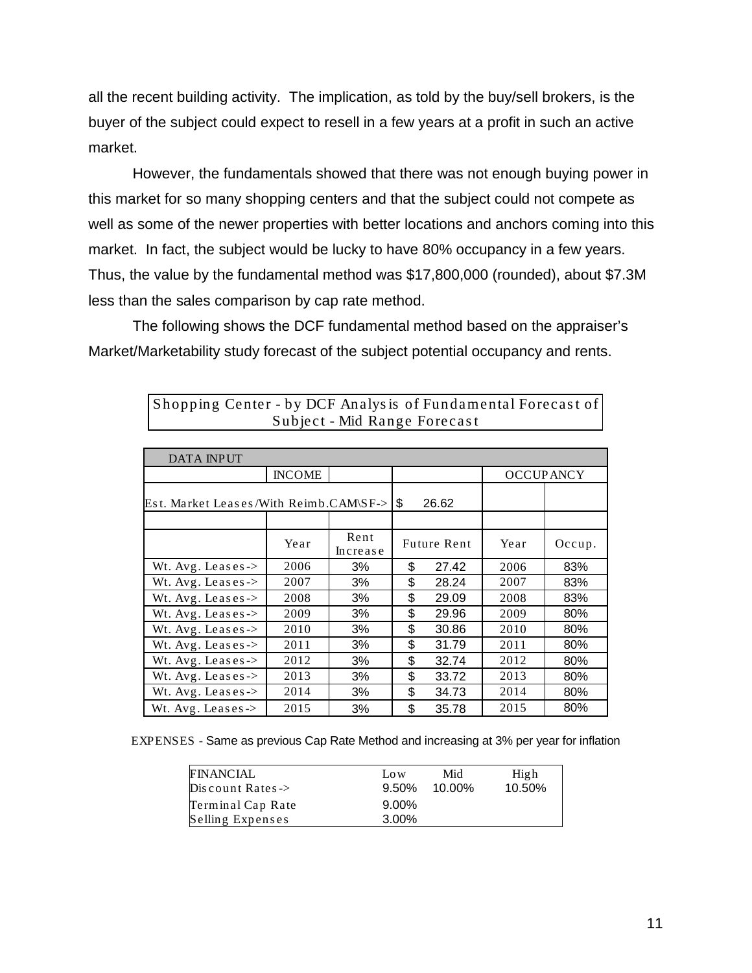all the recent building activity. The implication, as told by the buy/sell brokers, is the buyer of the subject could expect to resell in a few years at a profit in such an active market.

However, the fundamentals showed that there was not enough buying power in this market for so many shopping centers and that the subject could not compete as well as some of the newer properties with better locations and anchors coming into this market. In fact, the subject would be lucky to have 80% occupancy in a few years. Thus, the value by the fundamental method was \$17,800,000 (rounded), about \$7.3M less than the sales comparison by cap rate method.

The following shows the DCF fundamental method based on the appraiser's Market/Marketability study forecast of the subject potential occupancy and rents.

| <b>DATA INPUT</b>                      |               |                  |       |                    |                  |        |  |
|----------------------------------------|---------------|------------------|-------|--------------------|------------------|--------|--|
|                                        | <b>INCOME</b> |                  |       |                    | <b>OCCUPANCY</b> |        |  |
| Est. Market Leases/With Reimb.CAM\SF-> |               | \$               | 26.62 |                    |                  |        |  |
|                                        |               |                  |       |                    |                  |        |  |
|                                        | Year          | Rent<br>Increase |       | <b>Future Rent</b> | Year             | Occup. |  |
| Wt. $Avg.$ Leases ->                   | 2006          | 3%               | \$    | 27.42              | 2006             | 83%    |  |
| Wt. Avg. Leases $\rightarrow$          | 2007          | 3%               | \$    | 28.24              | 2007             | 83%    |  |
| Wt. $Avg.$ Leases ->                   | 2008          | 3%               | \$    | 29.09              | 2008             | 83%    |  |
| Wt. $Avg.$ Leases ->                   | 2009          | 3%               | \$    | 29.96              | 2009             | 80%    |  |
| Wt. Avg. Leases ->                     | 2010          | 3%               | \$    | 30.86              | 2010             | 80%    |  |
| Wt. $Avg.$ Leases ->                   | 2011          | 3%               | \$    | 31.79              | 2011             | 80%    |  |
| Wt. Avg. Leases->                      | 2012          | 3%               | \$    | 32.74              | 2012             | 80%    |  |
| Wt. Avg. Leases ->                     | 2013          | 3%               | \$    | 33.72              | 2013             | 80%    |  |
| Wt. $Avg.$ Leases ->                   | 2014          | 3%               | \$    | 34.73              | 2014             | 80%    |  |
| Wt. $Avg.$ Leases ->                   | 2015          | 3%               | \$    | 35.78              | 2015             | 80%    |  |

Shopping Center - by DCF Analysis of Fundamental Forecast of Subject - Mid Range Forecas t

EXPENSES - Same as previous Cap Rate Method and increasing at 3% per year for inflation

| <b>FINANCIAL</b>             | Low      | Mid    | High   |
|------------------------------|----------|--------|--------|
| Discount Rates $\rightarrow$ | $9.50\%$ | 10.00% | 10.50% |
| Terminal Cap Rate            | $9.00\%$ |        |        |
| Selling Expenses             | 3.00%    |        |        |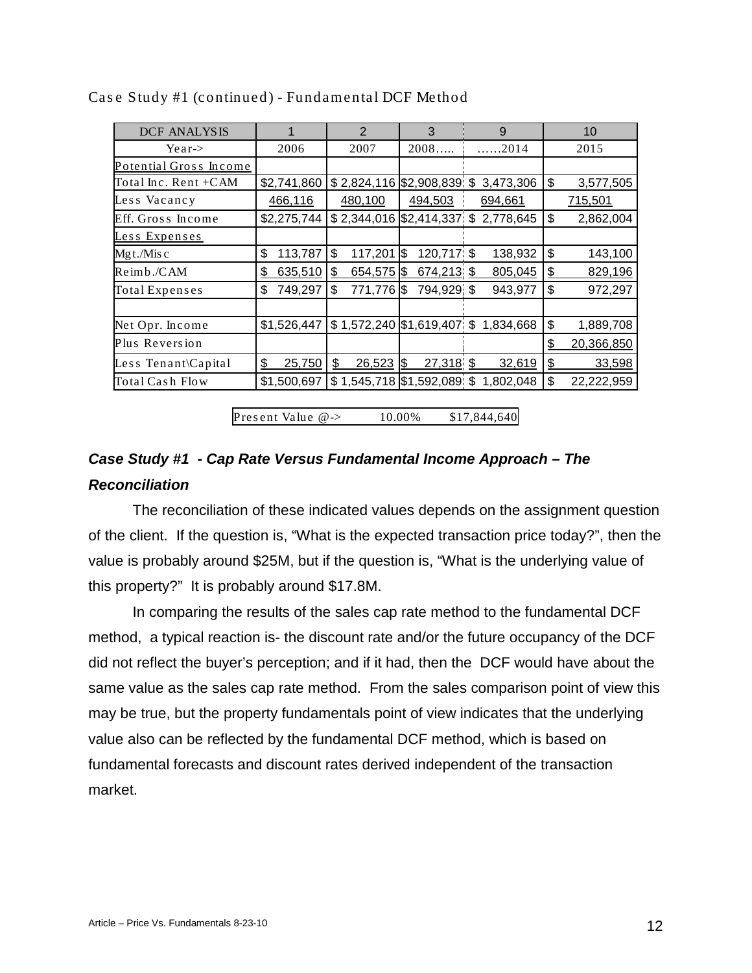| <b>DCF ANALYSIS</b>    | 1             | $\overline{2}$              | 3                       | 9                                       | 10               |
|------------------------|---------------|-----------------------------|-------------------------|-----------------------------------------|------------------|
| Year                   | 2006          | 2007                        | 2008                    | .2014                                   | 2015             |
| Potential Gross Income |               |                             |                         |                                         |                  |
| Total Inc. Rent +CAM   | \$2,741,860   | $$2,824,116$ \$2,908,839 \$ |                         | 3,473,306                               | \$<br>3,577,505  |
| Less Vacancy           | 466,116       | 480,100                     | 494,503                 | 694,661                                 | 715,501          |
| Eff. Gross Income      | \$2,275,744   |                             |                         | $$2,344,016$ $$2,414,337$ $$2,778,645$  | \$<br>2,862,004  |
| Less Expenses          |               |                             |                         |                                         |                  |
| $Mgt/Mis$ c            | \$<br>113,787 | \$<br>117,201               | 120,717 \$<br>1\$       | 138,932                                 | \$<br>143,100    |
| Reimb./CAM             | 635,510<br>\$ | 654,575 \$<br>\$            | 674,213 \$              | 805,045                                 | 829,196<br>\$    |
| Total Expenses         | 749,297<br>\$ | \$<br>771,776 \$            | 794,929 \$              | 943,977                                 | \$<br>972,297    |
|                        |               |                             |                         |                                         |                  |
| Net Opr. Income        | \$1,526,447   |                             |                         | $$1,572,240$ $$1,619,407$ ; \$1,834,668 | \$<br>1,889,708  |
| Plus Reversion         |               |                             |                         |                                         | \$<br>20,366,850 |
| Less Tenant\Capital    | \$<br>25,750  | \$<br>26,523                | 27,318 \$<br><b>1\$</b> | 32,619                                  | \$<br>33,598     |
| Total Cash Flow        | \$1,500,697   | $$1,545,718$ \$1,592,089 \$ |                         | 1,802,048                               | \$<br>22,222,959 |

Case Study #1 (continued) - Fundamental DCF Method

Pres ent Value @-> 10.00% \$17,844,640

# *Case Study #1 - Cap Rate Versus Fundamental Income Approach – The Reconciliation*

The reconciliation of these indicated values depends on the assignment question of the client. If the question is, "What is the expected transaction price today?", then the value is probably around \$25M, but if the question is, "What is the underlying value of this property?" It is probably around \$17.8M.

In comparing the results of the sales cap rate method to the fundamental DCF method, a typical reaction is- the discount rate and/or the future occupancy of the DCF did not reflect the buyer's perception; and if it had, then the DCF would have about the same value as the sales cap rate method. From the sales comparison point of view this may be true, but the property fundamentals point of view indicates that the underlying value also can be reflected by the fundamental DCF method, which is based on fundamental forecasts and discount rates derived independent of the transaction market.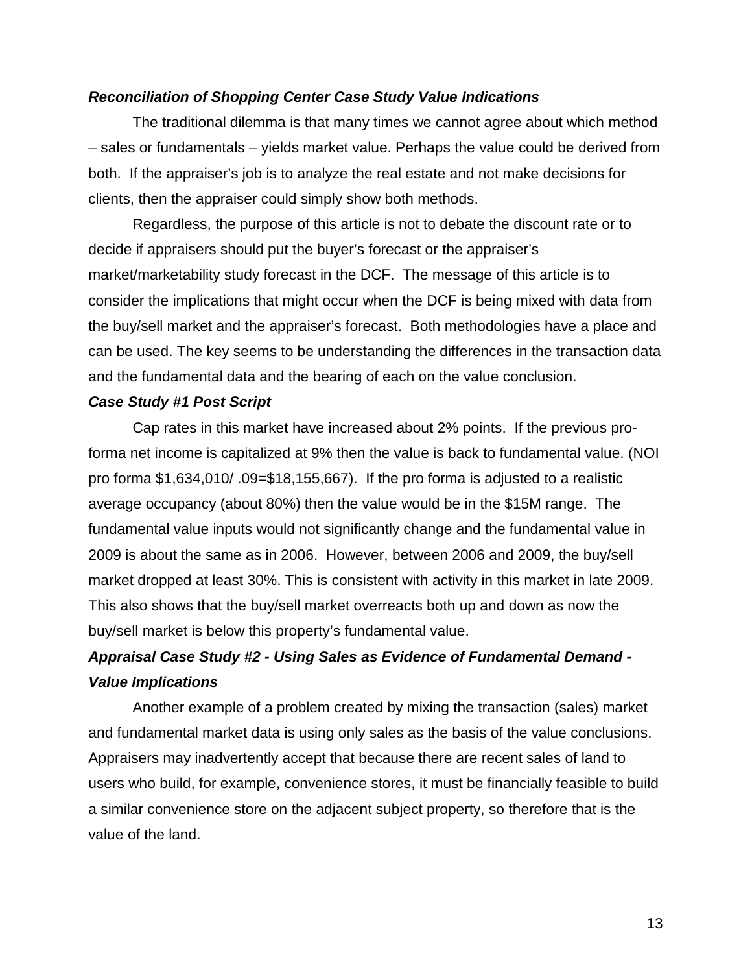## *Reconciliation of Shopping Center Case Study Value Indications*

The traditional dilemma is that many times we cannot agree about which method – sales or fundamentals – yields market value. Perhaps the value could be derived from both. If the appraiser's job is to analyze the real estate and not make decisions for clients, then the appraiser could simply show both methods.

Regardless, the purpose of this article is not to debate the discount rate or to decide if appraisers should put the buyer's forecast or the appraiser's market/marketability study forecast in the DCF. The message of this article is to consider the implications that might occur when the DCF is being mixed with data from the buy/sell market and the appraiser's forecast. Both methodologies have a place and can be used. The key seems to be understanding the differences in the transaction data and the fundamental data and the bearing of each on the value conclusion.

## *Case Study #1 Post Script*

Cap rates in this market have increased about 2% points. If the previous proforma net income is capitalized at 9% then the value is back to fundamental value. (NOI pro forma \$1,634,010/ .09=\$18,155,667). If the pro forma is adjusted to a realistic average occupancy (about 80%) then the value would be in the \$15M range. The fundamental value inputs would not significantly change and the fundamental value in 2009 is about the same as in 2006. However, between 2006 and 2009, the buy/sell market dropped at least 30%. This is consistent with activity in this market in late 2009. This also shows that the buy/sell market overreacts both up and down as now the buy/sell market is below this property's fundamental value.

# *Appraisal Case Study #2 - Using Sales as Evidence of Fundamental Demand - Value Implications*

Another example of a problem created by mixing the transaction (sales) market and fundamental market data is using only sales as the basis of the value conclusions. Appraisers may inadvertently accept that because there are recent sales of land to users who build, for example, convenience stores, it must be financially feasible to build a similar convenience store on the adjacent subject property, so therefore that is the value of the land.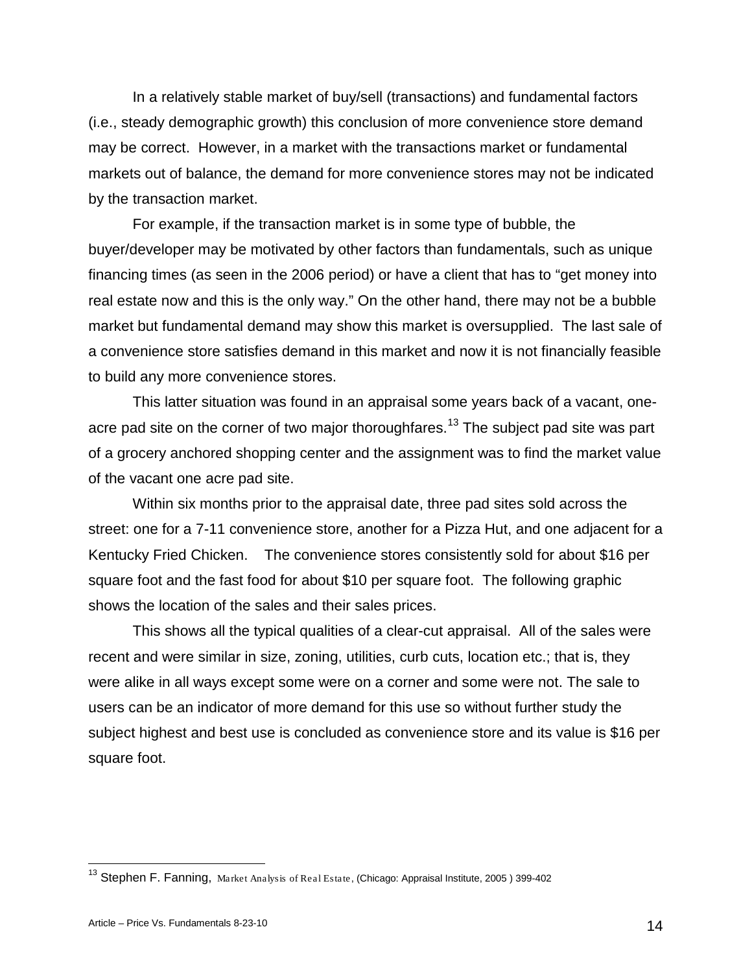In a relatively stable market of buy/sell (transactions) and fundamental factors (i.e., steady demographic growth) this conclusion of more convenience store demand may be correct. However, in a market with the transactions market or fundamental markets out of balance, the demand for more convenience stores may not be indicated by the transaction market.

For example, if the transaction market is in some type of bubble, the buyer/developer may be motivated by other factors than fundamentals, such as unique financing times (as seen in the 2006 period) or have a client that has to "get money into real estate now and this is the only way." On the other hand, there may not be a bubble market but fundamental demand may show this market is oversupplied. The last sale of a convenience store satisfies demand in this market and now it is not financially feasible to build any more convenience stores.

This latter situation was found in an appraisal some years back of a vacant, one-acre pad site on the corner of two major thoroughfares.<sup>[13](#page-13-0)</sup> The subject pad site was part of a grocery anchored shopping center and the assignment was to find the market value of the vacant one acre pad site.

Within six months prior to the appraisal date, three pad sites sold across the street: one for a 7-11 convenience store, another for a Pizza Hut, and one adjacent for a Kentucky Fried Chicken. The convenience stores consistently sold for about \$16 per square foot and the fast food for about \$10 per square foot. The following graphic shows the location of the sales and their sales prices.

This shows all the typical qualities of a clear-cut appraisal. All of the sales were recent and were similar in size, zoning, utilities, curb cuts, location etc.; that is, they were alike in all ways except some were on a corner and some were not. The sale to users can be an indicator of more demand for this use so without further study the subject highest and best use is concluded as convenience store and its value is \$16 per square foot.

<span id="page-13-0"></span><sup>&</sup>lt;sup>13</sup> Stephen F. Fanning, Market Analysis of Real Estate, (Chicago: Appraisal Institute, 2005) 399-402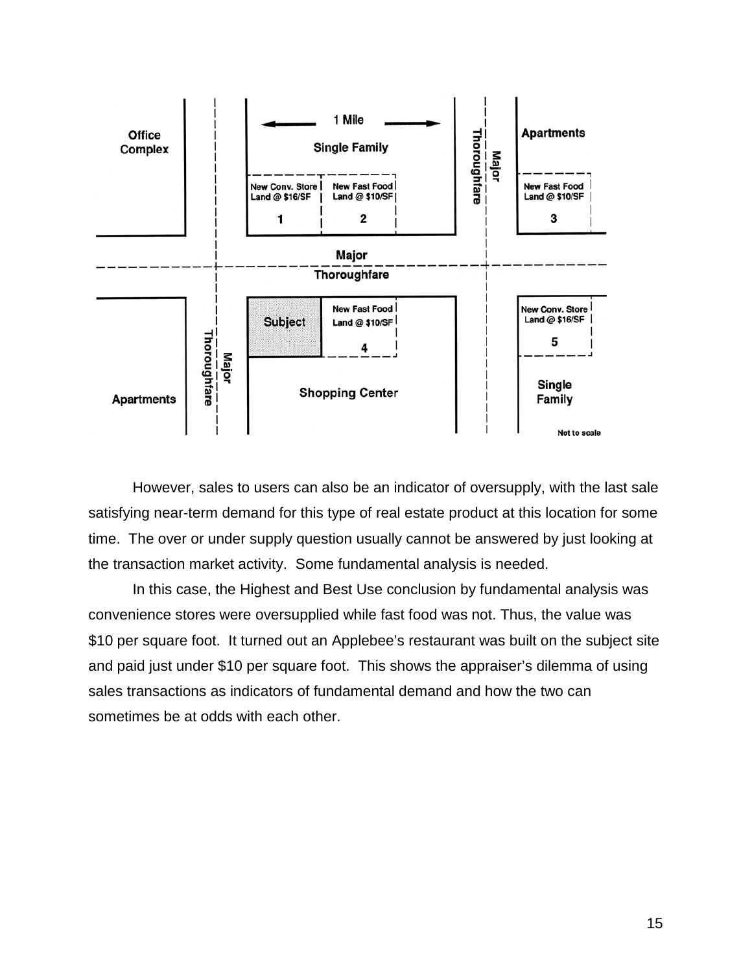

However, sales to users can also be an indicator of oversupply, with the last sale satisfying near-term demand for this type of real estate product at this location for some time. The over or under supply question usually cannot be answered by just looking at the transaction market activity. Some fundamental analysis is needed.

In this case, the Highest and Best Use conclusion by fundamental analysis was convenience stores were oversupplied while fast food was not. Thus, the value was \$10 per square foot. It turned out an Applebee's restaurant was built on the subject site and paid just under \$10 per square foot. This shows the appraiser's dilemma of using sales transactions as indicators of fundamental demand and how the two can sometimes be at odds with each other.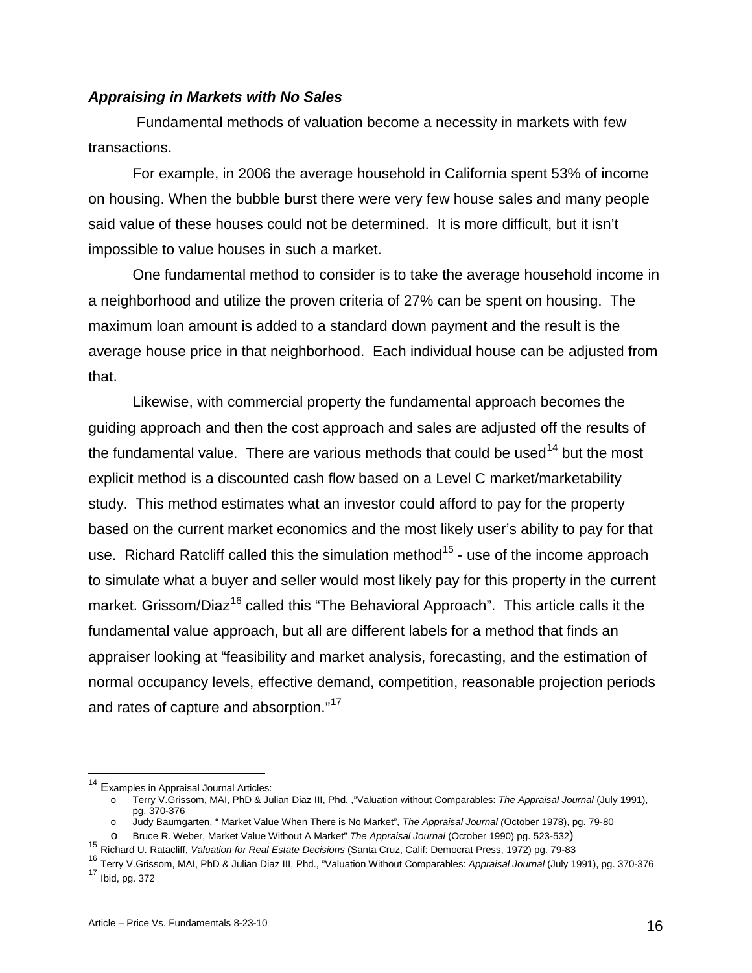## *Appraising in Markets with No Sales*

Fundamental methods of valuation become a necessity in markets with few transactions.

For example, in 2006 the average household in California spent 53% of income on housing. When the bubble burst there were very few house sales and many people said value of these houses could not be determined. It is more difficult, but it isn't impossible to value houses in such a market.

One fundamental method to consider is to take the average household income in a neighborhood and utilize the proven criteria of 27% can be spent on housing. The maximum loan amount is added to a standard down payment and the result is the average house price in that neighborhood. Each individual house can be adjusted from that.

Likewise, with commercial property the fundamental approach becomes the guiding approach and then the cost approach and sales are adjusted off the results of the fundamental value. There are various methods that could be used<sup>[14](#page-15-0)</sup> but the most explicit method is a discounted cash flow based on a Level C market/marketability study. This method estimates what an investor could afford to pay for the property based on the current market economics and the most likely user's ability to pay for that use. Richard Ratcliff called this the simulation method<sup>[15](#page-15-1)</sup> - use of the income approach to simulate what a buyer and seller would most likely pay for this property in the current market. Grissom/Diaz<sup>[16](#page-15-2)</sup> called this "The Behavioral Approach". This article calls it the fundamental value approach, but all are different labels for a method that finds an appraiser looking at "feasibility and market analysis, forecasting, and the estimation of normal occupancy levels, effective demand, competition, reasonable projection periods and rates of capture and absorption."[17](#page-15-3)

- o Judy Baumgarten, " Market Value When There is No Market", *The Appraisal Journal (*October 1978), pg. 79-80
- 

<span id="page-15-0"></span><sup>&</sup>lt;sup>14</sup> Examples in Appraisal Journal Articles:

o Terry V.Grissom, MAI, PhD & Julian Diaz III, Phd. ,"Valuation without Comparables: *The Appraisal Journal* (July 1991), pg. 370-376

<span id="page-15-1"></span><sup>&</sup>lt;sup>15</sup> Richard U. Ratacliff, Valuation for Real Estate Decisions (Santa Cruz, Calif: Democrat Press, 1972) pg. 79-83

<span id="page-15-3"></span><span id="page-15-2"></span><sup>16</sup> Terry V.Grissom, MAI, PhD & Julian Diaz III, Phd., "Valuation Without Comparables: *Appraisal Journal* (July 1991), pg. 370-376  $17$  Ibid, pg. 372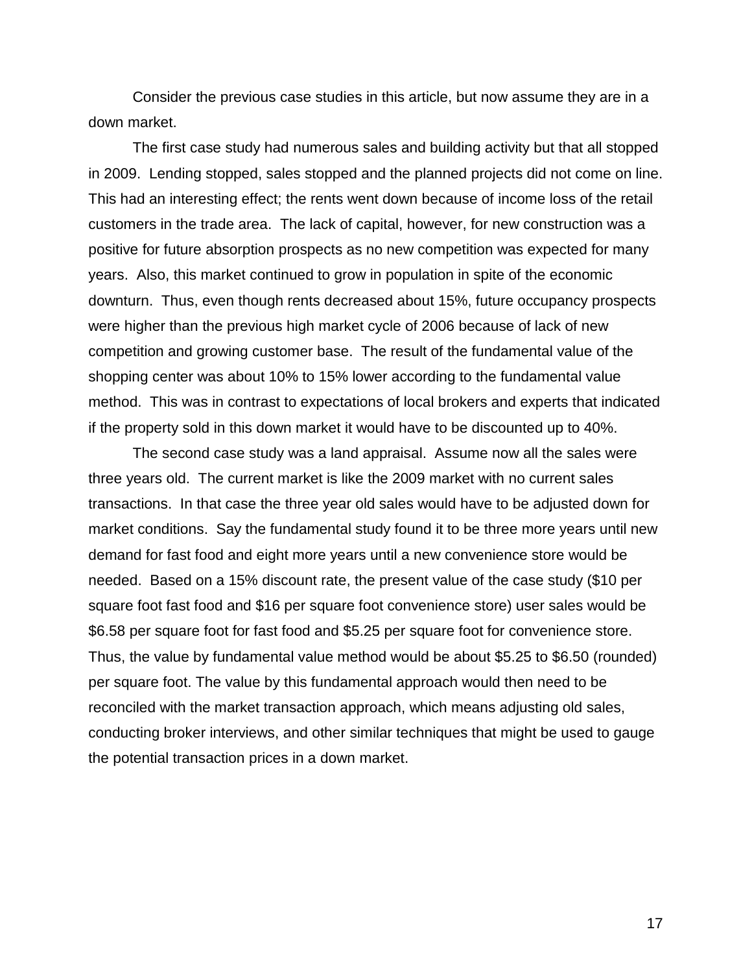Consider the previous case studies in this article, but now assume they are in a down market.

The first case study had numerous sales and building activity but that all stopped in 2009. Lending stopped, sales stopped and the planned projects did not come on line. This had an interesting effect; the rents went down because of income loss of the retail customers in the trade area. The lack of capital, however, for new construction was a positive for future absorption prospects as no new competition was expected for many years. Also, this market continued to grow in population in spite of the economic downturn. Thus, even though rents decreased about 15%, future occupancy prospects were higher than the previous high market cycle of 2006 because of lack of new competition and growing customer base. The result of the fundamental value of the shopping center was about 10% to 15% lower according to the fundamental value method. This was in contrast to expectations of local brokers and experts that indicated if the property sold in this down market it would have to be discounted up to 40%.

The second case study was a land appraisal. Assume now all the sales were three years old. The current market is like the 2009 market with no current sales transactions. In that case the three year old sales would have to be adjusted down for market conditions. Say the fundamental study found it to be three more years until new demand for fast food and eight more years until a new convenience store would be needed. Based on a 15% discount rate, the present value of the case study (\$10 per square foot fast food and \$16 per square foot convenience store) user sales would be \$6.58 per square foot for fast food and \$5.25 per square foot for convenience store. Thus, the value by fundamental value method would be about \$5.25 to \$6.50 (rounded) per square foot. The value by this fundamental approach would then need to be reconciled with the market transaction approach, which means adjusting old sales, conducting broker interviews, and other similar techniques that might be used to gauge the potential transaction prices in a down market.

17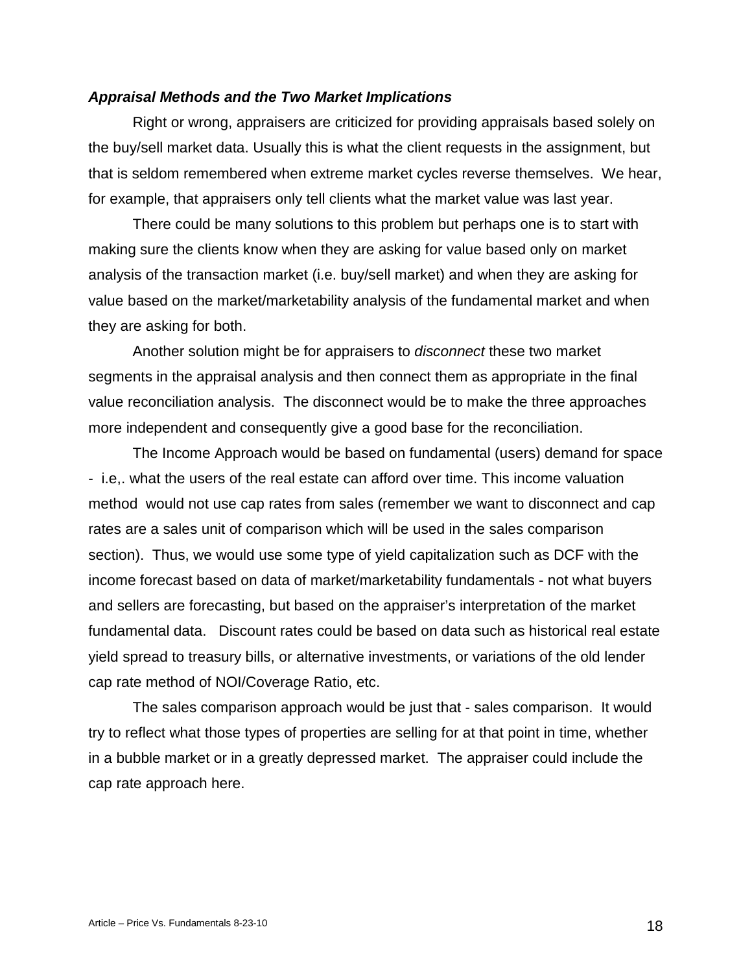#### *Appraisal Methods and the Two Market Implications*

Right or wrong, appraisers are criticized for providing appraisals based solely on the buy/sell market data. Usually this is what the client requests in the assignment, but that is seldom remembered when extreme market cycles reverse themselves. We hear, for example, that appraisers only tell clients what the market value was last year.

There could be many solutions to this problem but perhaps one is to start with making sure the clients know when they are asking for value based only on market analysis of the transaction market (i.e. buy/sell market) and when they are asking for value based on the market/marketability analysis of the fundamental market and when they are asking for both.

Another solution might be for appraisers to *disconnect* these two market segments in the appraisal analysis and then connect them as appropriate in the final value reconciliation analysis. The disconnect would be to make the three approaches more independent and consequently give a good base for the reconciliation.

The Income Approach would be based on fundamental (users) demand for space - i.e,. what the users of the real estate can afford over time. This income valuation method would not use cap rates from sales (remember we want to disconnect and cap rates are a sales unit of comparison which will be used in the sales comparison section). Thus, we would use some type of yield capitalization such as DCF with the income forecast based on data of market/marketability fundamentals - not what buyers and sellers are forecasting, but based on the appraiser's interpretation of the market fundamental data. Discount rates could be based on data such as historical real estate yield spread to treasury bills, or alternative investments, or variations of the old lender cap rate method of NOI/Coverage Ratio, etc.

The sales comparison approach would be just that - sales comparison. It would try to reflect what those types of properties are selling for at that point in time, whether in a bubble market or in a greatly depressed market. The appraiser could include the cap rate approach here.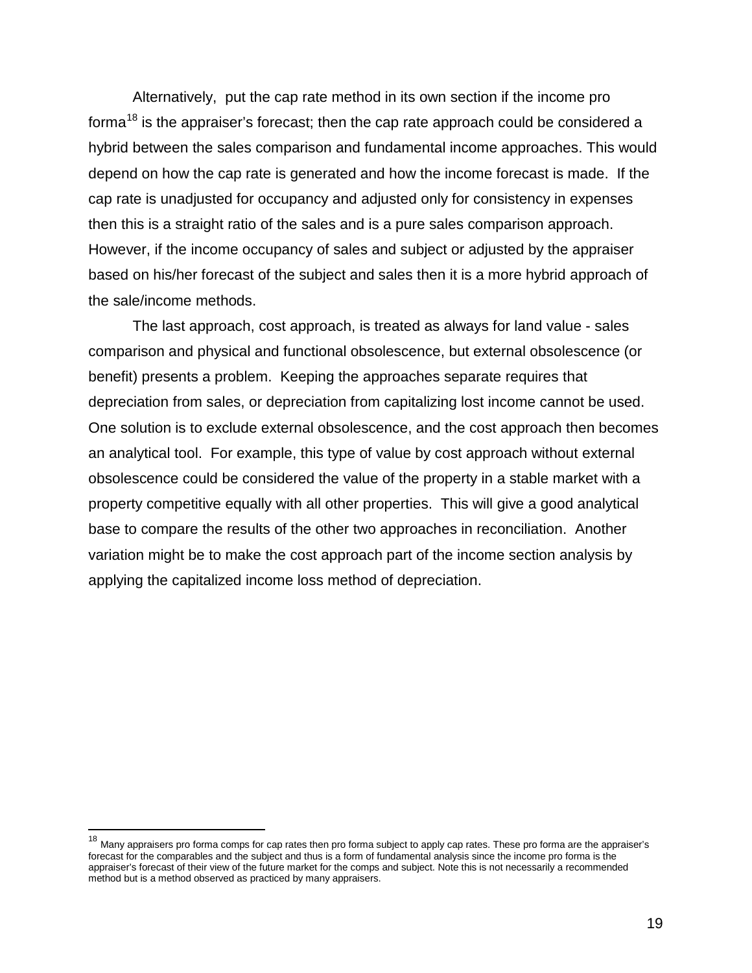Alternatively, put the cap rate method in its own section if the income pro forma $^{18}$  $^{18}$  $^{18}$  is the appraiser's forecast; then the cap rate approach could be considered a hybrid between the sales comparison and fundamental income approaches. This would depend on how the cap rate is generated and how the income forecast is made. If the cap rate is unadjusted for occupancy and adjusted only for consistency in expenses then this is a straight ratio of the sales and is a pure sales comparison approach. However, if the income occupancy of sales and subject or adjusted by the appraiser based on his/her forecast of the subject and sales then it is a more hybrid approach of the sale/income methods.

The last approach, cost approach, is treated as always for land value - sales comparison and physical and functional obsolescence, but external obsolescence (or benefit) presents a problem. Keeping the approaches separate requires that depreciation from sales, or depreciation from capitalizing lost income cannot be used. One solution is to exclude external obsolescence, and the cost approach then becomes an analytical tool. For example, this type of value by cost approach without external obsolescence could be considered the value of the property in a stable market with a property competitive equally with all other properties. This will give a good analytical base to compare the results of the other two approaches in reconciliation. Another variation might be to make the cost approach part of the income section analysis by applying the capitalized income loss method of depreciation.

<span id="page-18-0"></span><sup>&</sup>lt;sup>18</sup> Many appraisers pro forma comps for cap rates then pro forma subject to apply cap rates. These pro forma are the appraiser's forecast for the comparables and the subject and thus is a form of fundamental analysis since the income pro forma is the appraiser's forecast of their view of the future market for the comps and subject. Note this is not necessarily a recommended method but is a method observed as practiced by many appraisers.